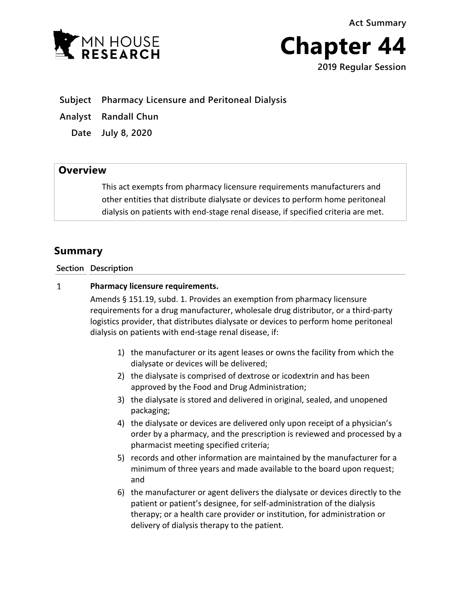



**Subject Pharmacy Licensure and Peritoneal Dialysis**

**Analyst Randall Chun**

**Date July 8, 2020**

## **Overview**

This act exempts from pharmacy licensure requirements manufacturers and other entities that distribute dialysate or devices to perform home peritoneal dialysis on patients with end-stage renal disease, if specified criteria are met.

## **Summary**

**Section Description**

## $\mathbf{1}$ **Pharmacy licensure requirements.**

Amends § 151.19, subd. 1. Provides an exemption from pharmacy licensure requirements for a drug manufacturer, wholesale drug distributor, or a third-party logistics provider, that distributes dialysate or devices to perform home peritoneal dialysis on patients with end-stage renal disease, if:

- 1) the manufacturer or its agent leases or owns the facility from which the dialysate or devices will be delivered;
- 2) the dialysate is comprised of dextrose or icodextrin and has been approved by the Food and Drug Administration;
- 3) the dialysate is stored and delivered in original, sealed, and unopened packaging;
- 4) the dialysate or devices are delivered only upon receipt of a physician's order by a pharmacy, and the prescription is reviewed and processed by a pharmacist meeting specified criteria;
- 5) records and other information are maintained by the manufacturer for a minimum of three years and made available to the board upon request; and
- 6) the manufacturer or agent delivers the dialysate or devices directly to the patient or patient's designee, for self-administration of the dialysis therapy; or a health care provider or institution, for administration or delivery of dialysis therapy to the patient.